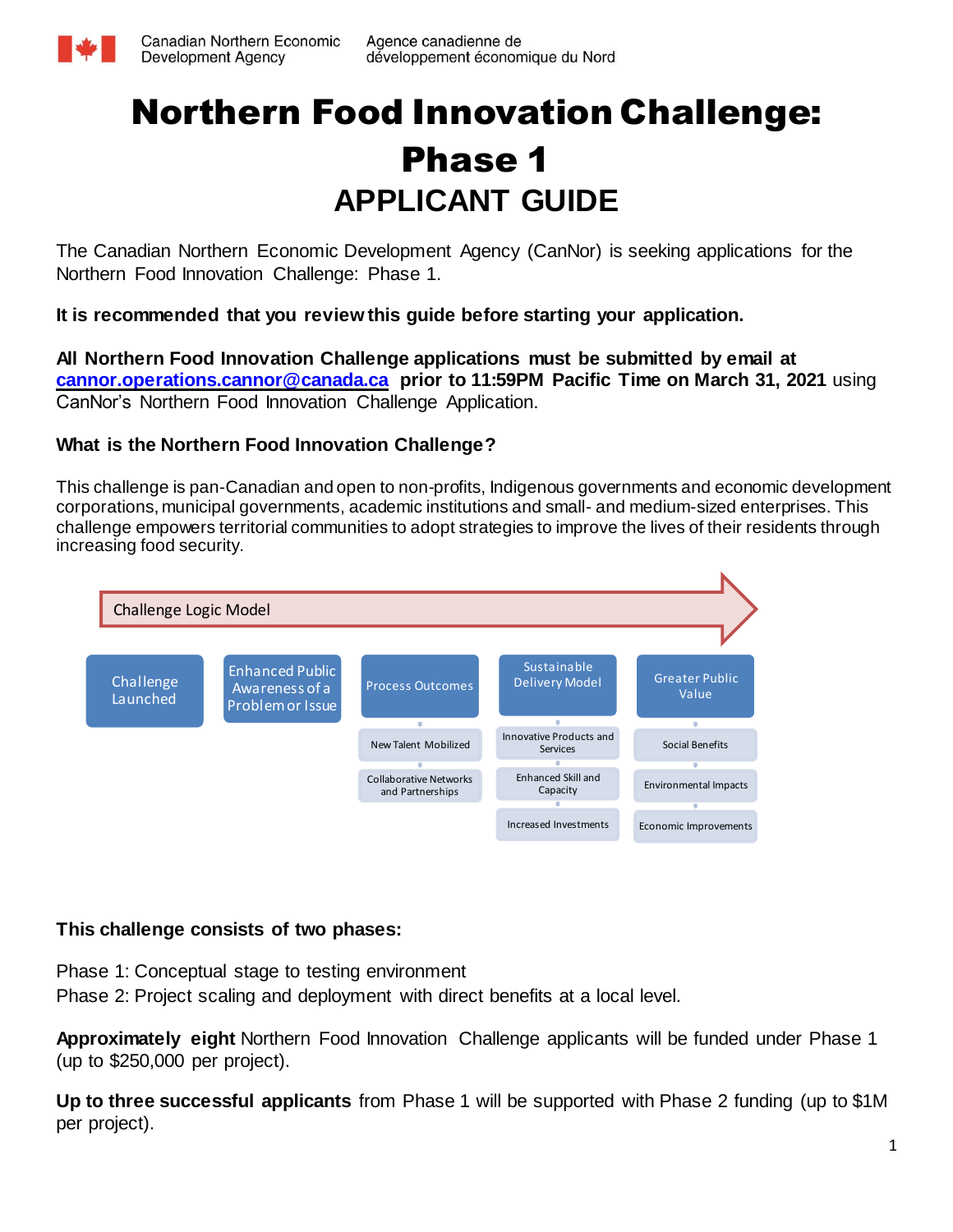

# Northern Food Innovation Challenge: Phase 1 **APPLICANT GUIDE**

The Canadian Northern Economic Development Agency (CanNor) is seeking applications for the Northern Food Innovation Challenge: Phase 1.

**It is recommended that you review this guide before starting your application.**

**All Northern Food Innovation Challenge applications must be submitted by email at [cannor.operations.cannor@canada.ca](https://gcdocs.intra.pri/contentserverinacproductiondav/nodes/88741005/cannor.operations.cannor%40canada.ca) prior to 11:59PM Pacific Time on March 31, 2021** using CanNor's Northern Food Innovation Challenge Application.

## **What is the Northern Food Innovation Challenge?**

This challenge is pan-Canadian and open to non-profits, Indigenous governments and economic development corporations, municipal governments, academic institutions and small- and medium-sized enterprises. This challenge empowers territorial communities to adopt strategies to improve the lives of their residents through increasing food security.



## **This challenge consists of two phases:**

Phase 1: Conceptual stage to testing environment

Phase 2: Project scaling and deployment with direct benefits at a local level.

**Approximately eight** Northern Food Innovation Challenge applicants will be funded under Phase 1 (up to \$250,000 per project).

**Up to three successful applicants** from Phase 1 will be supported with Phase 2 funding (up to \$1M per project).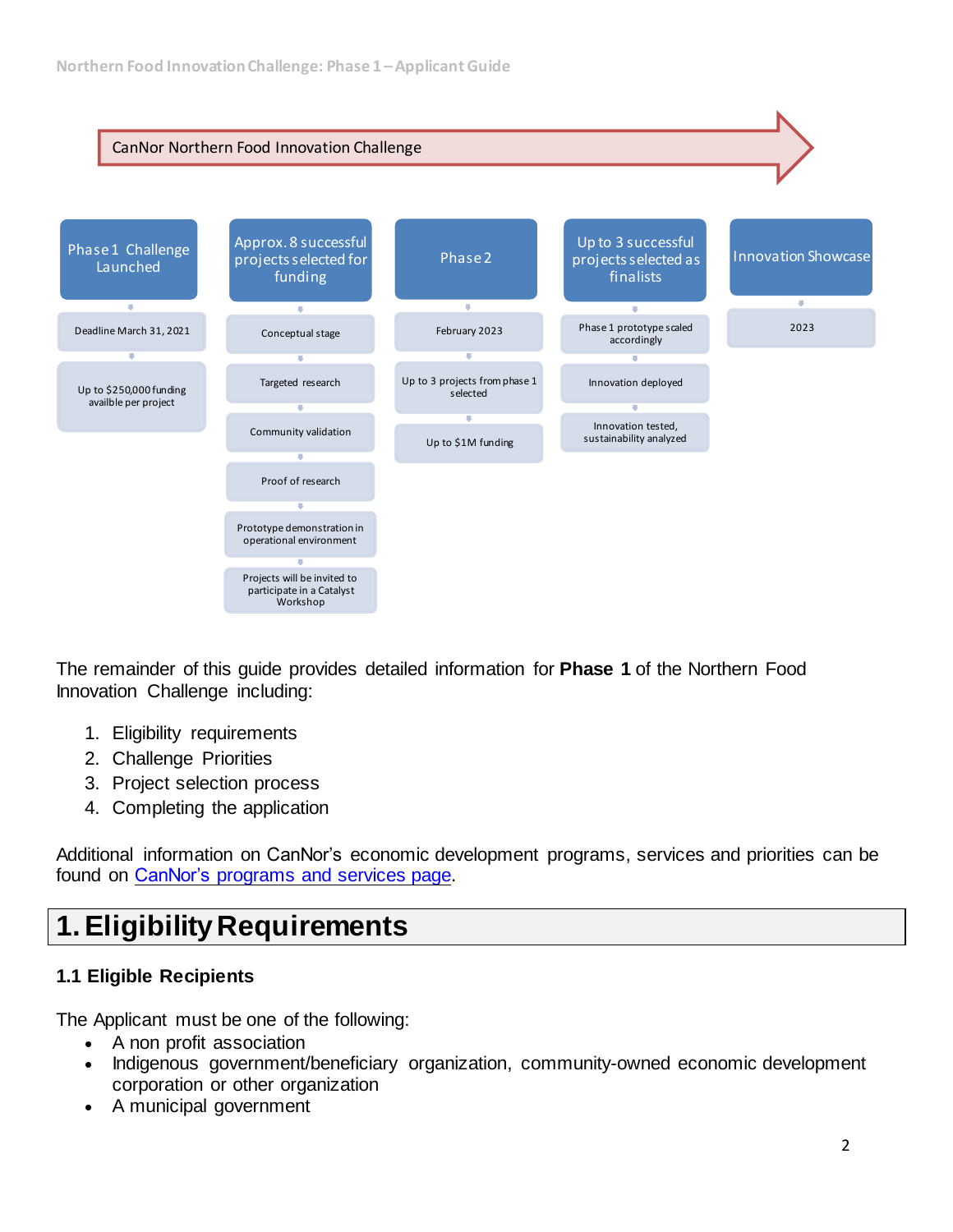

The remainder of this guide provides detailed information for **Phase 1** of the Northern Food Innovation Challenge including:

- 1. Eligibility requirements
- 2. Challenge Priorities
- 3. Project selection process
- 4. Completing the application

Additional information on CanNor's economic development programs, services and priorities can be found on CanNor's [programs](https://www.cannor.gc.ca/eng/1381325363616/1381325380355) and services page.

## **1.Eligibility Requirements**

## **1.1 Eligible Recipients**

The Applicant must be one of the following:

- A non profit association
- Indigenous government/beneficiary organization, community-owned economic development corporation or other organization
- A municipal government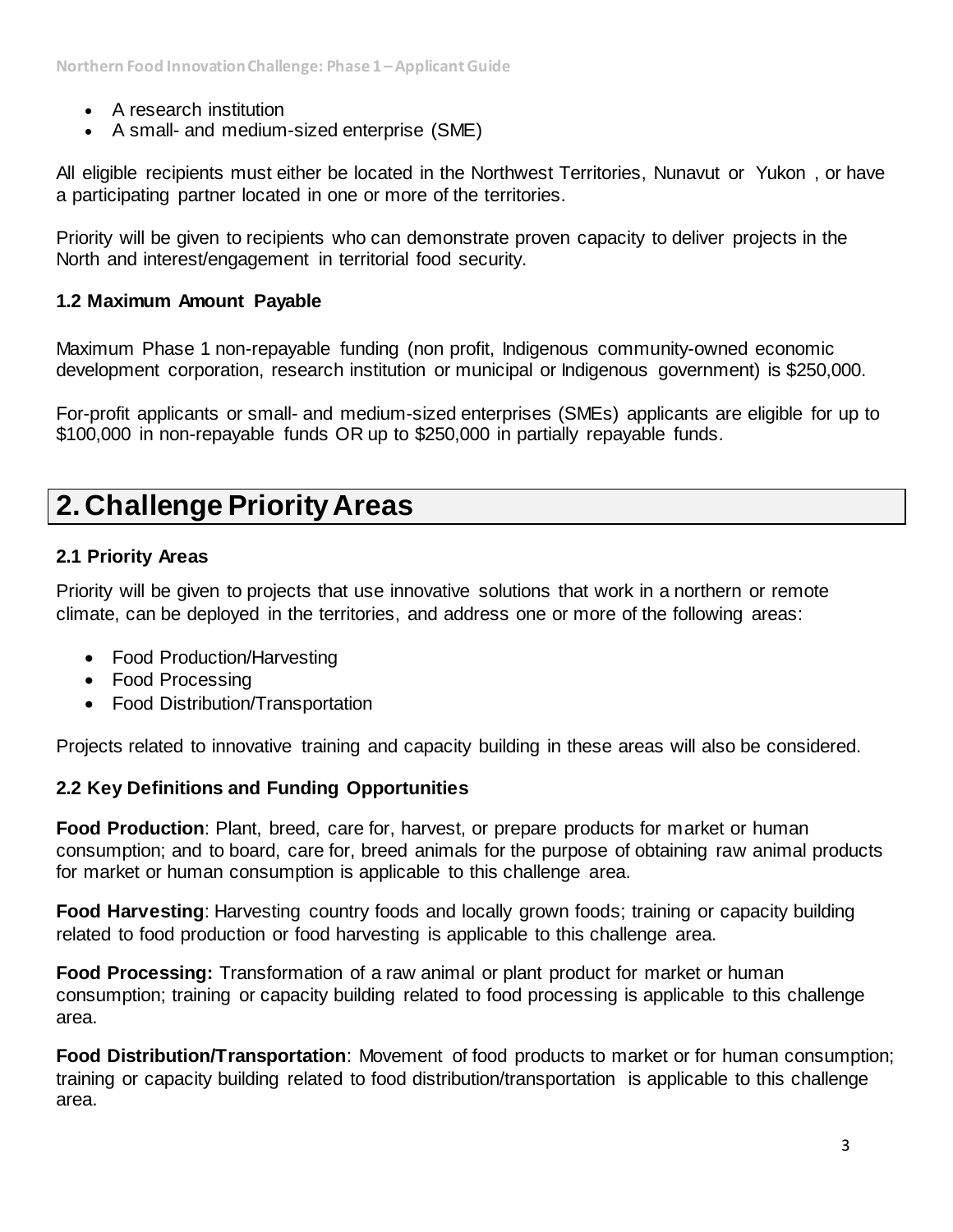- A research institution
- A small- and medium-sized enterprise (SME)

All eligible recipients must either be located in the Northwest Territories, Nunavut or Yukon , or have a participating partner located in one or more of the territories.

Priority will be given to recipients who can demonstrate proven capacity to deliver projects in the North and interest/engagement in territorial food security.

#### **1.2 Maximum Amount Payable**

Maximum Phase 1 non-repayable funding (non profit, Indigenous community-owned economic development corporation, research institution or municipal or Indigenous government) is \$250,000.

For-profit applicants or small- and medium-sized enterprises (SMEs) applicants are eligible for up to \$100,000 in non-repayable funds OR up to \$250,000 in partially repayable funds.

## **2. Challenge Priority Areas**

#### **2.1 Priority Areas**

Priority will be given to projects that use innovative solutions that work in a northern or remote climate, can be deployed in the territories, and address one or more of the following areas:

- Food Production/Harvesting
- Food Processing
- Food Distribution/Transportation

Projects related to innovative training and capacity building in these areas will also be considered.

#### **2.2 Key Definitions and Funding Opportunities**

**Food Production**: Plant, breed, care for, harvest, or prepare products for market or human consumption; and to board, care for, breed animals for the purpose of obtaining raw animal products for market or human consumption is applicable to this challenge area.

**Food Harvesting**: Harvesting country foods and locally grown foods; training or capacity building related to food production or food harvesting is applicable to this challenge area.

**Food Processing:** Transformation of a raw animal or plant product for market or human consumption; training or capacity building related to food processing is applicable to this challenge area.

**Food Distribution/Transportation**: Movement of food products to market or for human consumption; training or capacity building related to food distribution/transportation is applicable to this challenge area.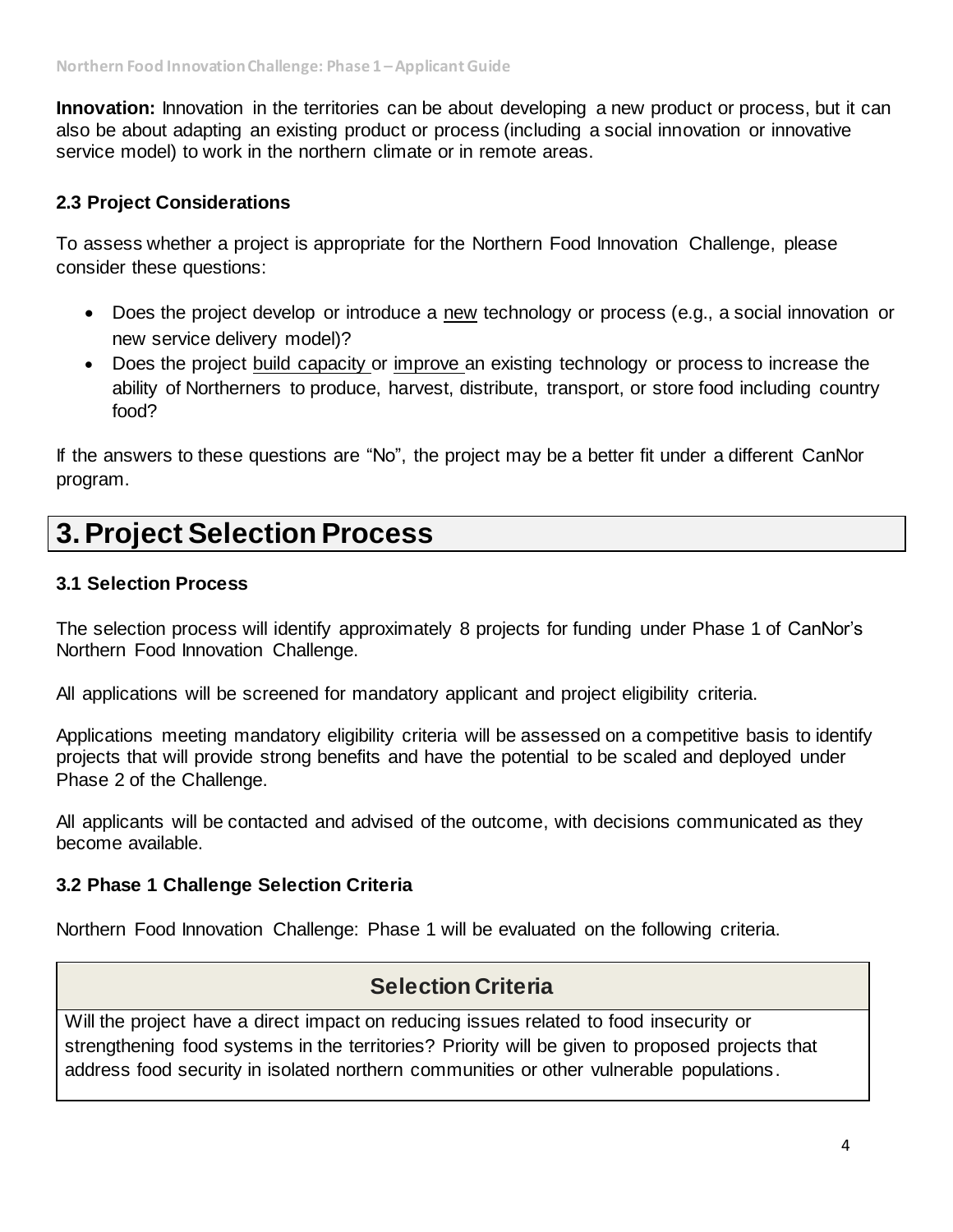**Innovation:** Innovation in the territories can be about developing a new product or process, but it can also be about adapting an existing product or process (including a social innovation or innovative service model) to work in the northern climate or in remote areas.

## **2.3 Project Considerations**

To assess whether a project is appropriate for the Northern Food Innovation Challenge, please consider these questions:

- Does the project develop or introduce a new technology or process (e.g., a social innovation or new service delivery model)?
- Does the project build capacity or improve an existing technology or process to increase the ability of Northerners to produce, harvest, distribute, transport, or store food including country food?

If the answers to these questions are "No", the project may be a better fit under a different CanNor program.

## **3.Project Selection Process**

#### **3.1 Selection Process**

The selection process will identify approximately 8 projects for funding under Phase 1 of CanNor's Northern Food Innovation Challenge.

All applications will be screened for mandatory applicant and project eligibility criteria.

Applications meeting mandatory eligibility criteria will be assessed on a competitive basis to identify projects that will provide strong benefits and have the potential to be scaled and deployed under Phase 2 of the Challenge.

All applicants will be contacted and advised of the outcome, with decisions communicated as they become available.

## **3.2 Phase 1 Challenge Selection Criteria**

Northern Food Innovation Challenge: Phase 1 will be evaluated on the following criteria.

## **Selection Criteria**

Will the project have a direct impact on reducing issues related to food insecurity or strengthening food systems in the territories? Priority will be given to proposed projects that address food security in isolated northern communities or other vulnerable populations.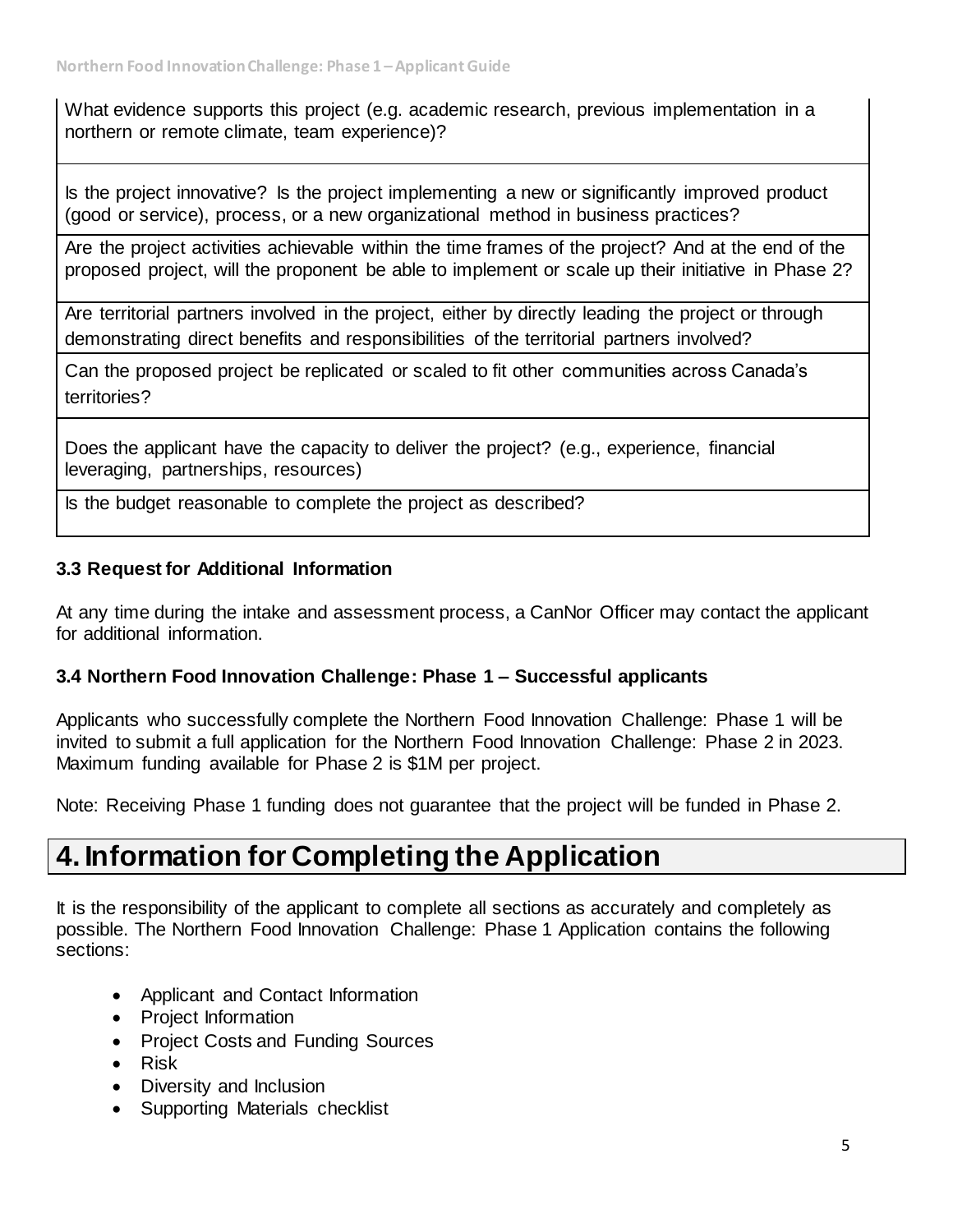What evidence supports this project (e.g. academic research, previous implementation in a northern or remote climate, team experience)?

Is the project innovative? Is the project implementing a new or significantly improved product (good or service), process, or a new organizational method in business practices?

Are the project activities achievable within the time frames of the project? And at the end of the proposed project, will the proponent be able to implement or scale up their initiative in Phase 2?

Are territorial partners involved in the project, either by directly leading the project or through demonstrating direct benefits and responsibilities of the territorial partners involved?

Can the proposed project be replicated or scaled to fit other communities across Canada's territories?

Does the applicant have the capacity to deliver the project? (e.g., experience, financial leveraging, partnerships, resources)

Is the budget reasonable to complete the project as described?

## **3.3 Request for Additional Information**

At any time during the intake and assessment process, a CanNor Officer may contact the applicant for additional information.

## **3.4 Northern Food Innovation Challenge: Phase 1 – Successful applicants**

Applicants who successfully complete the Northern Food Innovation Challenge: Phase 1 will be invited to submit a full application for the Northern Food Innovation Challenge: Phase 2 in 2023. Maximum funding available for Phase 2 is \$1M per project.

Note: Receiving Phase 1 funding does not guarantee that the project will be funded in Phase 2.

## **4. Information for Completing the Application**

It is the responsibility of the applicant to complete all sections as accurately and completely as possible. The Northern Food Innovation Challenge: Phase 1 Application contains the following sections:

- Applicant and Contact Information
- Project Information
- Project Costs and Funding Sources
- Risk
- Diversity and Inclusion
- Supporting Materials checklist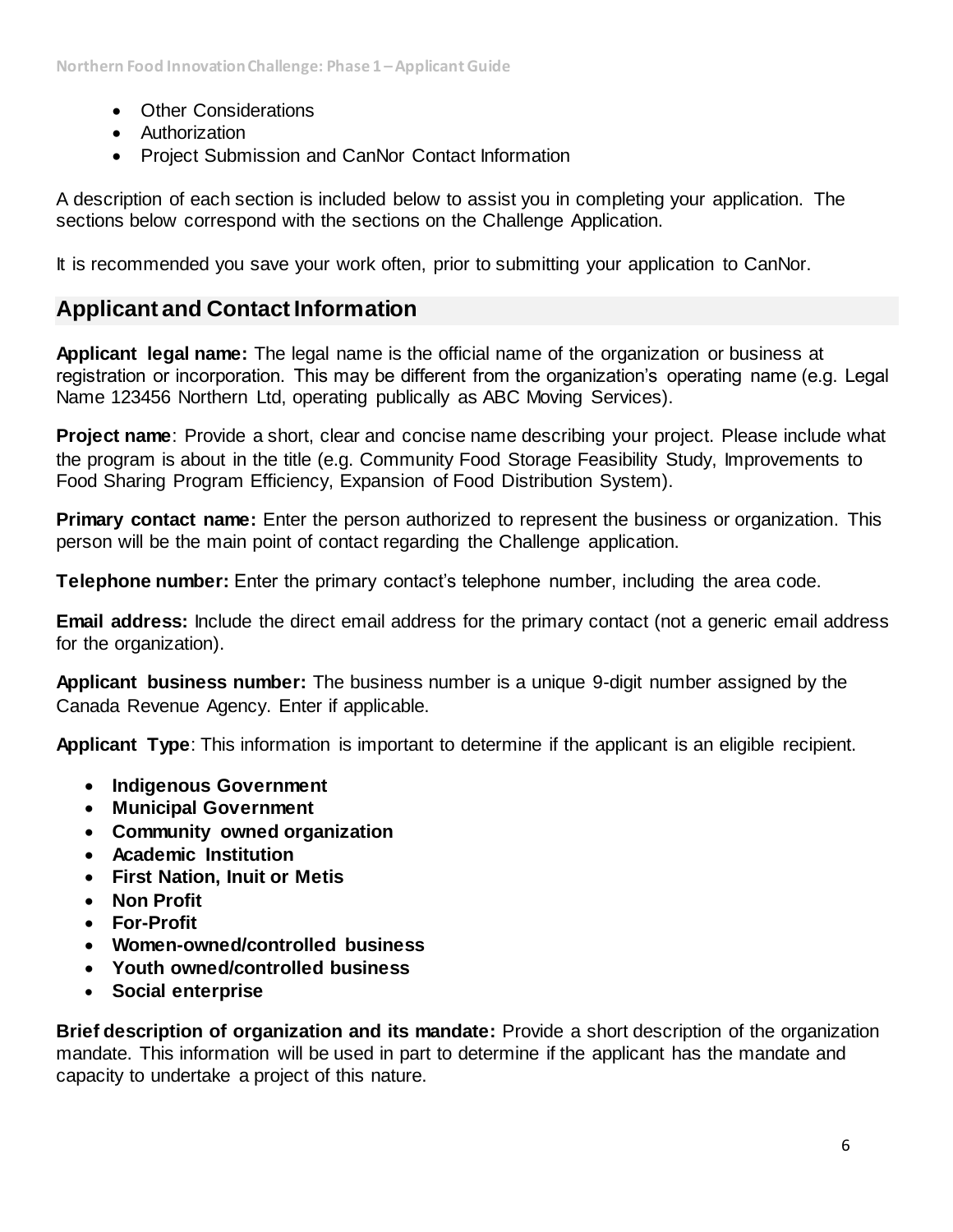- Other Considerations
- Authorization
- Project Submission and CanNor Contact Information

A description of each section is included below to assist you in completing your application. The sections below correspond with the sections on the Challenge Application.

It is recommended you save your work often, prior to submitting your application to CanNor.

## **Applicant and Contact Information**

**Applicant legal name:** The legal name is the official name of the organization or business at registration or incorporation. This may be different from the organization's operating name (e.g. Legal Name 123456 Northern Ltd, operating publically as ABC Moving Services).

**Project name**: Provide a short, clear and concise name describing your project. Please include what the program is about in the title (e.g. Community Food Storage Feasibility Study, Improvements to Food Sharing Program Efficiency, Expansion of Food Distribution System).

**Primary contact name:** Enter the person authorized to represent the business or organization. This person will be the main point of contact regarding the Challenge application.

**Telephone number:** Enter the primary contact's telephone number, including the area code.

**Email address:** Include the direct email address for the primary contact (not a generic email address for the organization).

**Applicant business number:** The business number is a unique 9-digit number assigned by the Canada Revenue Agency. Enter if applicable.

**Applicant Type**: This information is important to determine if the applicant is an eligible recipient.

- **Indigenous Government**
- **Municipal Government**
- **Community owned organization**
- **Academic Institution**
- **First Nation, Inuit or Metis**
- **Non Profit**
- **For-Profit**
- **Women-owned/controlled business**
- **Youth owned/controlled business**
- **Social enterprise**

**Brief description of organization and its mandate:** Provide a short description of the organization mandate. This information will be used in part to determine if the applicant has the mandate and capacity to undertake a project of this nature.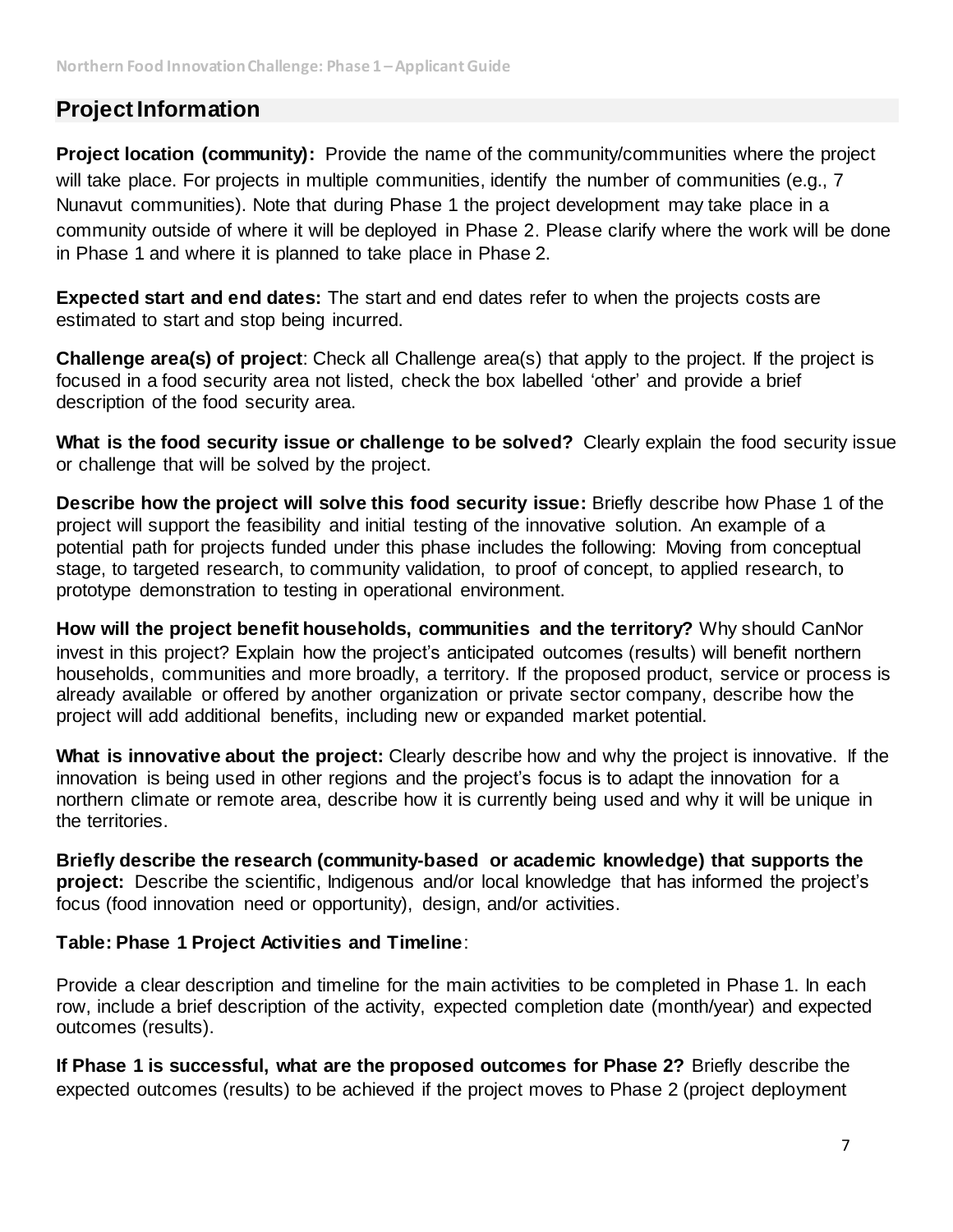## **Project Information**

**Project location (community):** Provide the name of the community/communities where the project will take place. For projects in multiple communities, identify the number of communities (e.g., 7 Nunavut communities). Note that during Phase 1 the project development may take place in a community outside of where it will be deployed in Phase 2. Please clarify where the work will be done in Phase 1 and where it is planned to take place in Phase 2.

**Expected start and end dates:** The start and end dates refer to when the projects costs are estimated to start and stop being incurred.

**Challenge area(s) of project**: Check all Challenge area(s) that apply to the project. If the project is focused in a food security area not listed, check the box labelled 'other' and provide a brief description of the food security area.

**What is the food security issue or challenge to be solved?** Clearly explain the food security issue or challenge that will be solved by the project.

**Describe how the project will solve this food security issue:** Briefly describe how Phase 1 of the project will support the feasibility and initial testing of the innovative solution. An example of a potential path for projects funded under this phase includes the following: Moving from conceptual stage, to targeted research, to community validation, to proof of concept, to applied research, to prototype demonstration to testing in operational environment.

**How will the project benefit households, communities and the territory?** Why should CanNor invest in this project? Explain how the project's anticipated outcomes (results) will benefit northern households, communities and more broadly, a territory. If the proposed product, service or process is already available or offered by another organization or private sector company, describe how the project will add additional benefits, including new or expanded market potential.

**What is innovative about the project:** Clearly describe how and why the project is innovative. If the innovation is being used in other regions and the project's focus is to adapt the innovation for a northern climate or remote area, describe how it is currently being used and why it will be unique in the territories.

**Briefly describe the research (community-based or academic knowledge) that supports the project:** Describe the scientific, Indigenous and/or local knowledge that has informed the project's focus (food innovation need or opportunity), design, and/or activities.

## **Table: Phase 1 Project Activities and Timeline**:

Provide a clear description and timeline for the main activities to be completed in Phase 1. In each row, include a brief description of the activity, expected completion date (month/year) and expected outcomes (results).

**If Phase 1 is successful, what are the proposed outcomes for Phase 2?** Briefly describe the expected outcomes (results) to be achieved if the project moves to Phase 2 (project deployment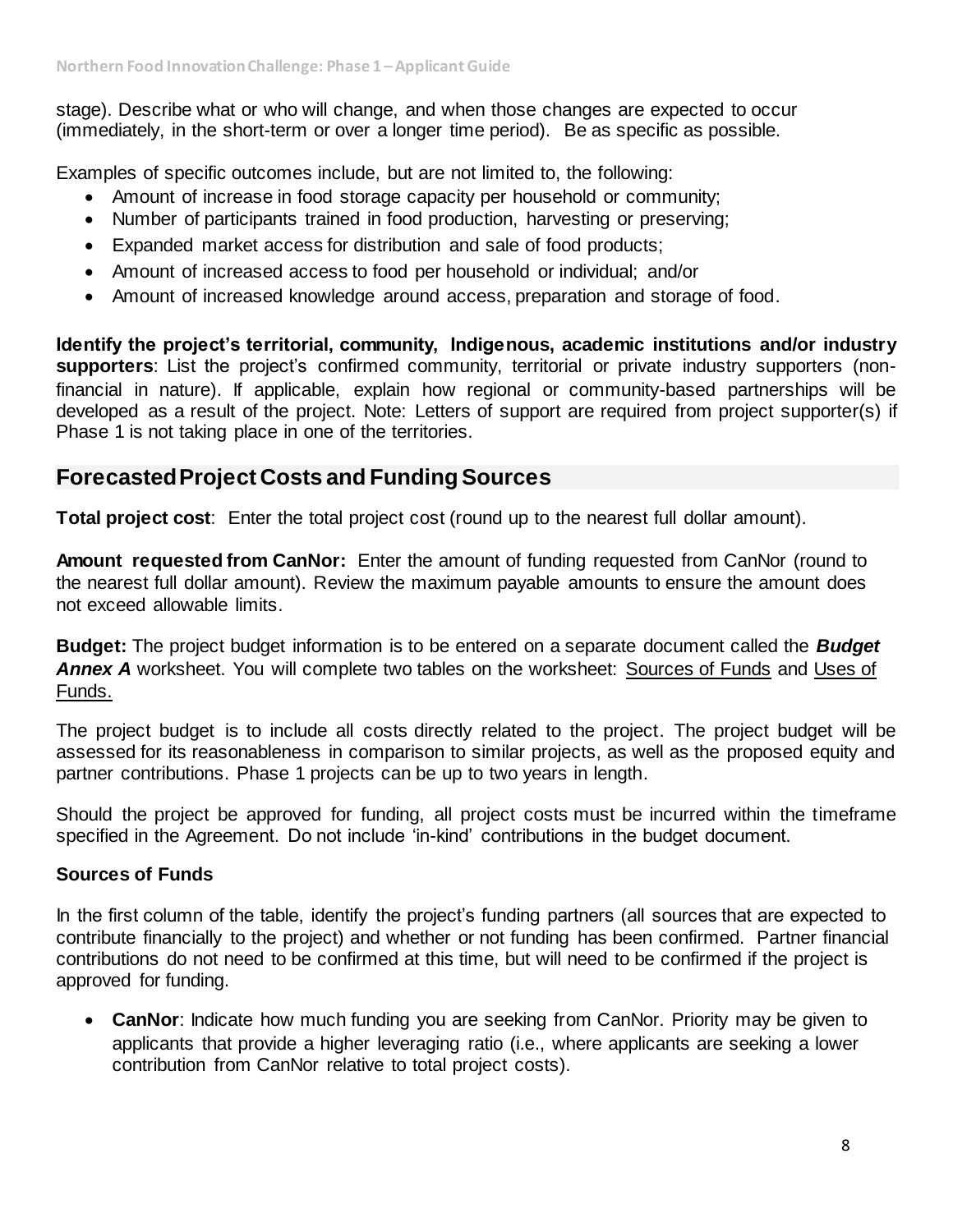stage). Describe what or who will change, and when those changes are expected to occur (immediately, in the short-term or over a longer time period). Be as specific as possible.

Examples of specific outcomes include, but are not limited to, the following:

- Amount of increase in food storage capacity per household or community;
- Number of participants trained in food production, harvesting or preserving;
- Expanded market access for distribution and sale of food products;
- Amount of increased access to food per household or individual; and/or
- Amount of increased knowledge around access, preparation and storage of food.

**Identify the project's territorial, community, Indigenous, academic institutions and/or industry supporters**: List the project's confirmed community, territorial or private industry supporters (nonfinancial in nature). If applicable, explain how regional or community-based partnerships will be developed as a result of the project. Note: Letters of support are required from project supporter(s) if Phase 1 is not taking place in one of the territories.

## **Forecasted Project Costs and Funding Sources**

**Total project cost**: Enter the total project cost (round up to the nearest full dollar amount).

**Amount requested from CanNor:** Enter the amount of funding requested from CanNor (round to the nearest full dollar amount). Review the maximum payable amounts to ensure the amount does not exceed allowable limits.

**Budget:** The project budget information is to be entered on a separate document called the *Budget Annex A* worksheet. You will complete two tables on the worksheet: Sources of Funds and Uses of Funds.

The project budget is to include all costs directly related to the project. The project budget will be assessed for its reasonableness in comparison to similar projects, as well as the proposed equity and partner contributions. Phase 1 projects can be up to two years in length.

Should the project be approved for funding, all project costs must be incurred within the timeframe specified in the Agreement. Do not include 'in-kind' contributions in the budget document.

## **Sources of Funds**

In the first column of the table, identify the project's funding partners (all sources that are expected to contribute financially to the project) and whether or not funding has been confirmed. Partner financial contributions do not need to be confirmed at this time, but will need to be confirmed if the project is approved for funding.

• **CanNor**: Indicate how much funding you are seeking from CanNor. Priority may be given to applicants that provide a higher leveraging ratio (i.e., where applicants are seeking a lower contribution from CanNor relative to total project costs).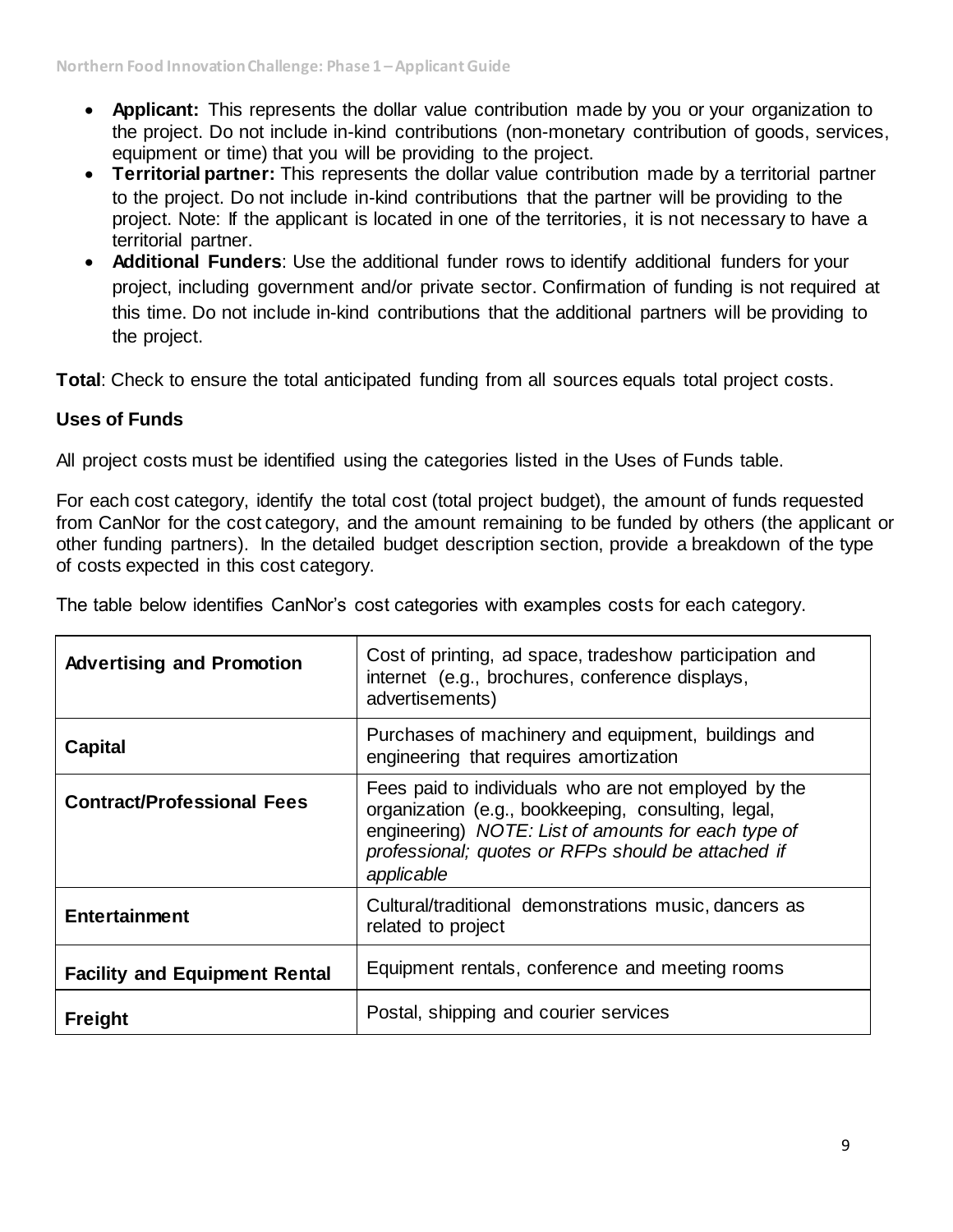- **Applicant:** This represents the dollar value contribution made by you or your organization to the project. Do not include in-kind contributions (non-monetary contribution of goods, services, equipment or time) that you will be providing to the project.
- **Territorial partner:** This represents the dollar value contribution made by a territorial partner to the project. Do not include in-kind contributions that the partner will be providing to the project. Note: If the applicant is located in one of the territories, it is not necessary to have a territorial partner.
- **Additional Funders**: Use the additional funder rows to identify additional funders for your project, including government and/or private sector. Confirmation of funding is not required at this time. Do not include in-kind contributions that the additional partners will be providing to the project.

**Total**: Check to ensure the total anticipated funding from all sources equals total project costs.

## **Uses of Funds**

All project costs must be identified using the categories listed in the Uses of Funds table.

For each cost category, identify the total cost (total project budget), the amount of funds requested from CanNor for the cost category, and the amount remaining to be funded by others (the applicant or other funding partners). In the detailed budget description section, provide a breakdown of the type of costs expected in this cost category.

| <b>Advertising and Promotion</b>     | Cost of printing, ad space, tradeshow participation and<br>internet (e.g., brochures, conference displays,<br>advertisements)                                                                                                          |
|--------------------------------------|----------------------------------------------------------------------------------------------------------------------------------------------------------------------------------------------------------------------------------------|
| <b>Capital</b>                       | Purchases of machinery and equipment, buildings and<br>engineering that requires amortization                                                                                                                                          |
| <b>Contract/Professional Fees</b>    | Fees paid to individuals who are not employed by the<br>organization (e.g., bookkeeping, consulting, legal,<br>engineering) NOTE: List of amounts for each type of<br>professional; quotes or RFPs should be attached if<br>applicable |
| <b>Entertainment</b>                 | Cultural/traditional demonstrations music, dancers as<br>related to project                                                                                                                                                            |
| <b>Facility and Equipment Rental</b> | Equipment rentals, conference and meeting rooms                                                                                                                                                                                        |
| <b>Freight</b>                       | Postal, shipping and courier services                                                                                                                                                                                                  |

The table below identifies CanNor's cost categories with examples costs for each category.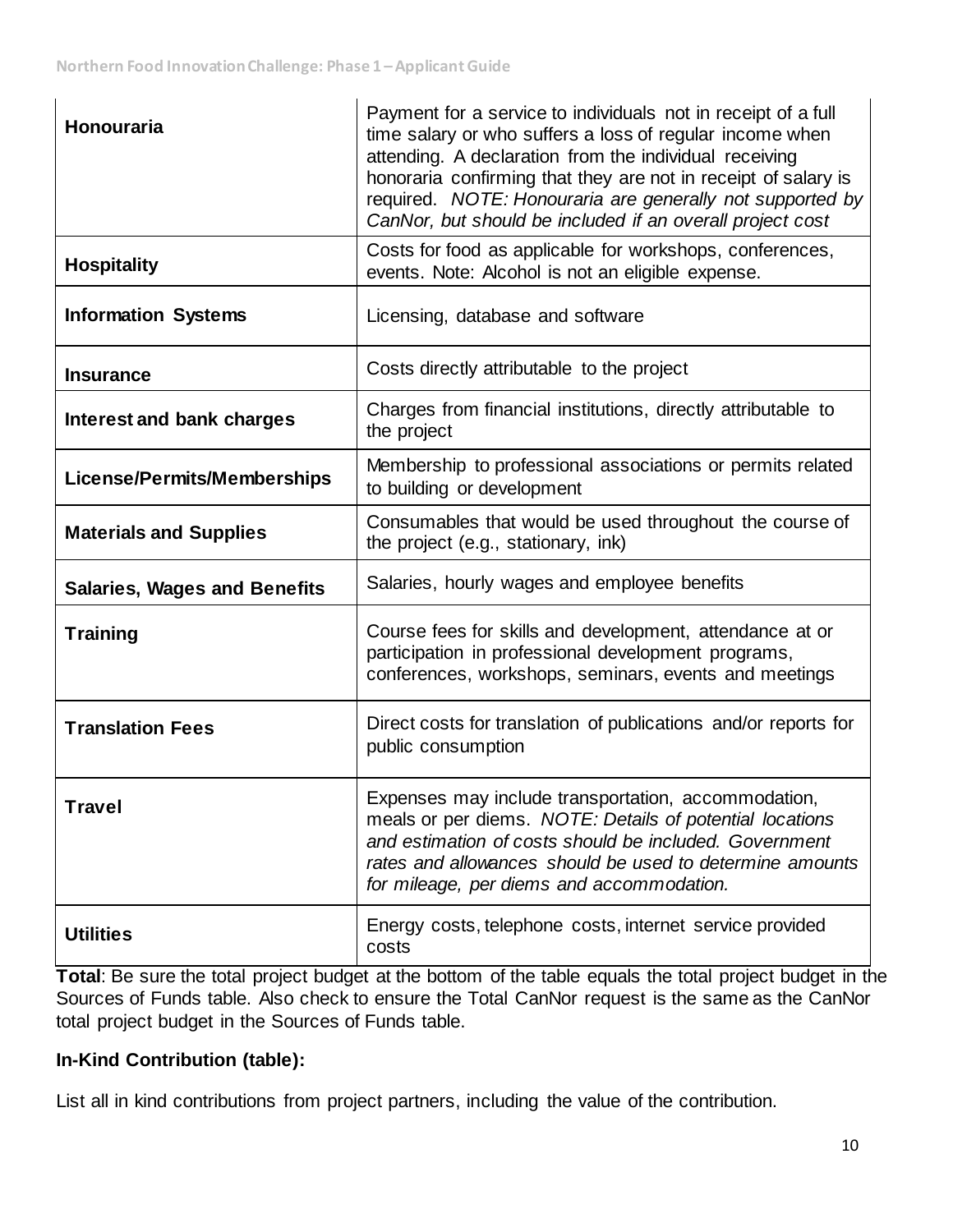| <b>Honouraria</b>                   | Payment for a service to individuals not in receipt of a full<br>time salary or who suffers a loss of regular income when<br>attending. A declaration from the individual receiving<br>honoraria confirming that they are not in receipt of salary is<br>required. NOTE: Honouraria are generally not supported by<br>CanNor, but should be included if an overall project cost |
|-------------------------------------|---------------------------------------------------------------------------------------------------------------------------------------------------------------------------------------------------------------------------------------------------------------------------------------------------------------------------------------------------------------------------------|
| <b>Hospitality</b>                  | Costs for food as applicable for workshops, conferences,<br>events. Note: Alcohol is not an eligible expense.                                                                                                                                                                                                                                                                   |
| <b>Information Systems</b>          | Licensing, database and software                                                                                                                                                                                                                                                                                                                                                |
| <b>Insurance</b>                    | Costs directly attributable to the project                                                                                                                                                                                                                                                                                                                                      |
| Interest and bank charges           | Charges from financial institutions, directly attributable to<br>the project                                                                                                                                                                                                                                                                                                    |
| <b>License/Permits/Memberships</b>  | Membership to professional associations or permits related<br>to building or development                                                                                                                                                                                                                                                                                        |
| <b>Materials and Supplies</b>       | Consumables that would be used throughout the course of<br>the project (e.g., stationary, ink)                                                                                                                                                                                                                                                                                  |
| <b>Salaries, Wages and Benefits</b> | Salaries, hourly wages and employee benefits                                                                                                                                                                                                                                                                                                                                    |
| <b>Training</b>                     | Course fees for skills and development, attendance at or<br>participation in professional development programs,<br>conferences, workshops, seminars, events and meetings                                                                                                                                                                                                        |
| <b>Translation Fees</b>             | Direct costs for translation of publications and/or reports for<br>public consumption                                                                                                                                                                                                                                                                                           |
| Travel                              | Expenses may include transportation, accommodation,<br>meals or per diems. NOTE: Details of potential locations<br>and estimation of costs should be included. Government<br>rates and allowances should be used to determine amounts<br>for mileage, per diems and accommodation.                                                                                              |
| <b>Utilities</b>                    | Energy costs, telephone costs, internet service provided<br>costs                                                                                                                                                                                                                                                                                                               |

**Total**: Be sure the total project budget at the bottom of the table equals the total project budget in the Sources of Funds table. Also check to ensure the Total CanNor request is the same as the CanNor total project budget in the Sources of Funds table.

## **In-Kind Contribution (table):**

List all in kind contributions from project partners, including the value of the contribution.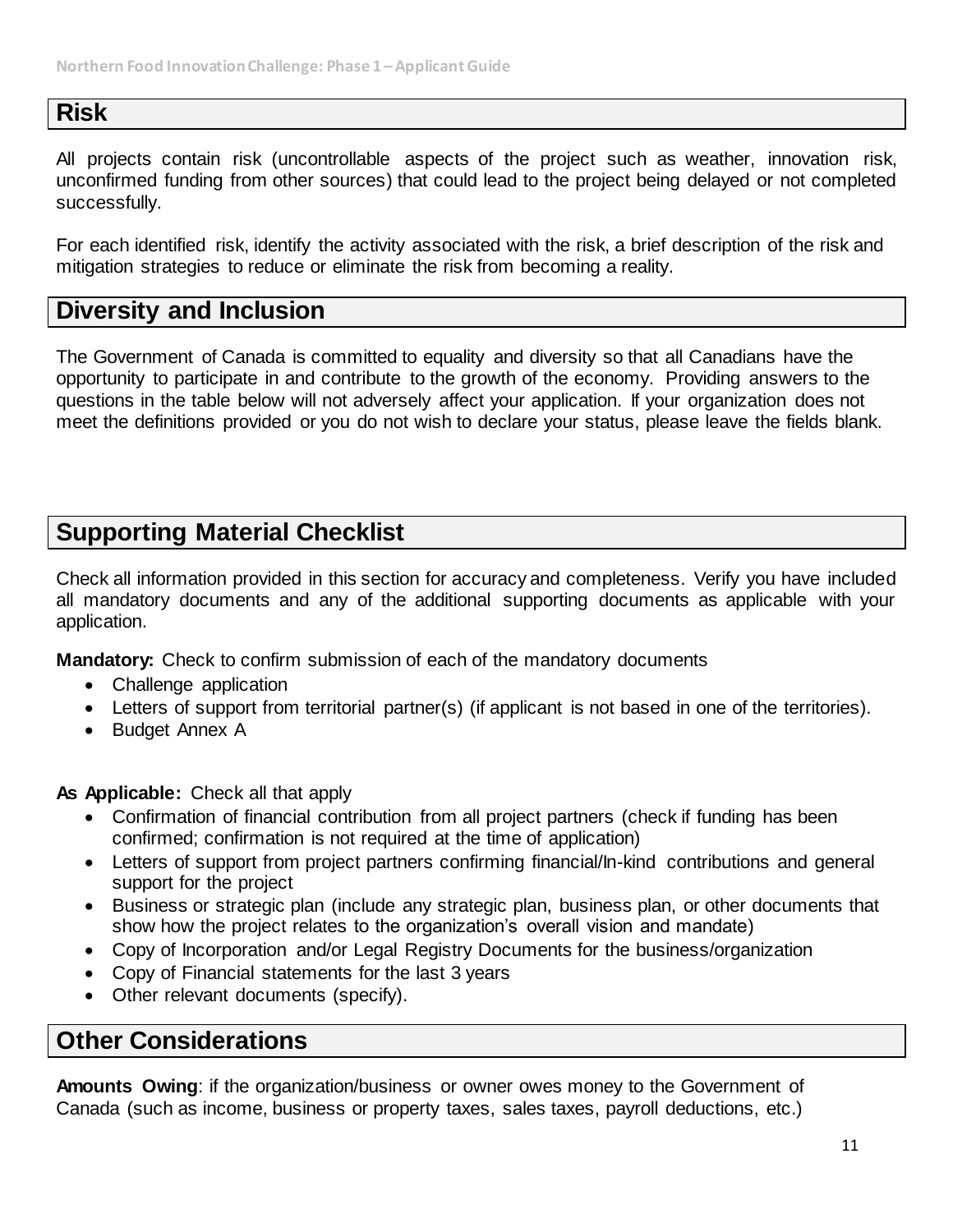## **Risk**

All projects contain risk (uncontrollable aspects of the project such as weather, innovation risk, unconfirmed funding from other sources) that could lead to the project being delayed or not completed successfully.

For each identified risk, identify the activity associated with the risk, a brief description of the risk and mitigation strategies to reduce or eliminate the risk from becoming a reality.

## **Diversity and Inclusion**

The Government of Canada is committed to equality and diversity so that all Canadians have the opportunity to participate in and contribute to the growth of the economy. Providing answers to the questions in the table below will not adversely affect your application. If your organization does not meet the definitions provided or you do not wish to declare your status, please leave the fields blank.

## **Supporting Material Checklist**

Check all information provided in this section for accuracy and completeness. Verify you have included all mandatory documents and any of the additional supporting documents as applicable with your application.

**Mandatory:** Check to confirm submission of each of the mandatory documents

- Challenge application
- Letters of support from territorial partner(s) (if applicant is not based in one of the territories).
- Budget Annex A

**As Applicable:** Check all that apply

- Confirmation of financial contribution from all project partners (check if funding has been confirmed; confirmation is not required at the time of application)
- Letters of support from project partners confirming financial/In-kind contributions and general support for the project
- Business or strategic plan (include any strategic plan, business plan, or other documents that show how the project relates to the organization's overall vision and mandate)
- Copy of Incorporation and/or Legal Registry Documents for the business/organization
- Copy of Financial statements for the last 3 years
- Other relevant documents (specify).

## **Other Considerations**

**Amounts Owing**: if the organization/business or owner owes money to the Government of Canada (such as income, business or property taxes, sales taxes, payroll deductions, etc.)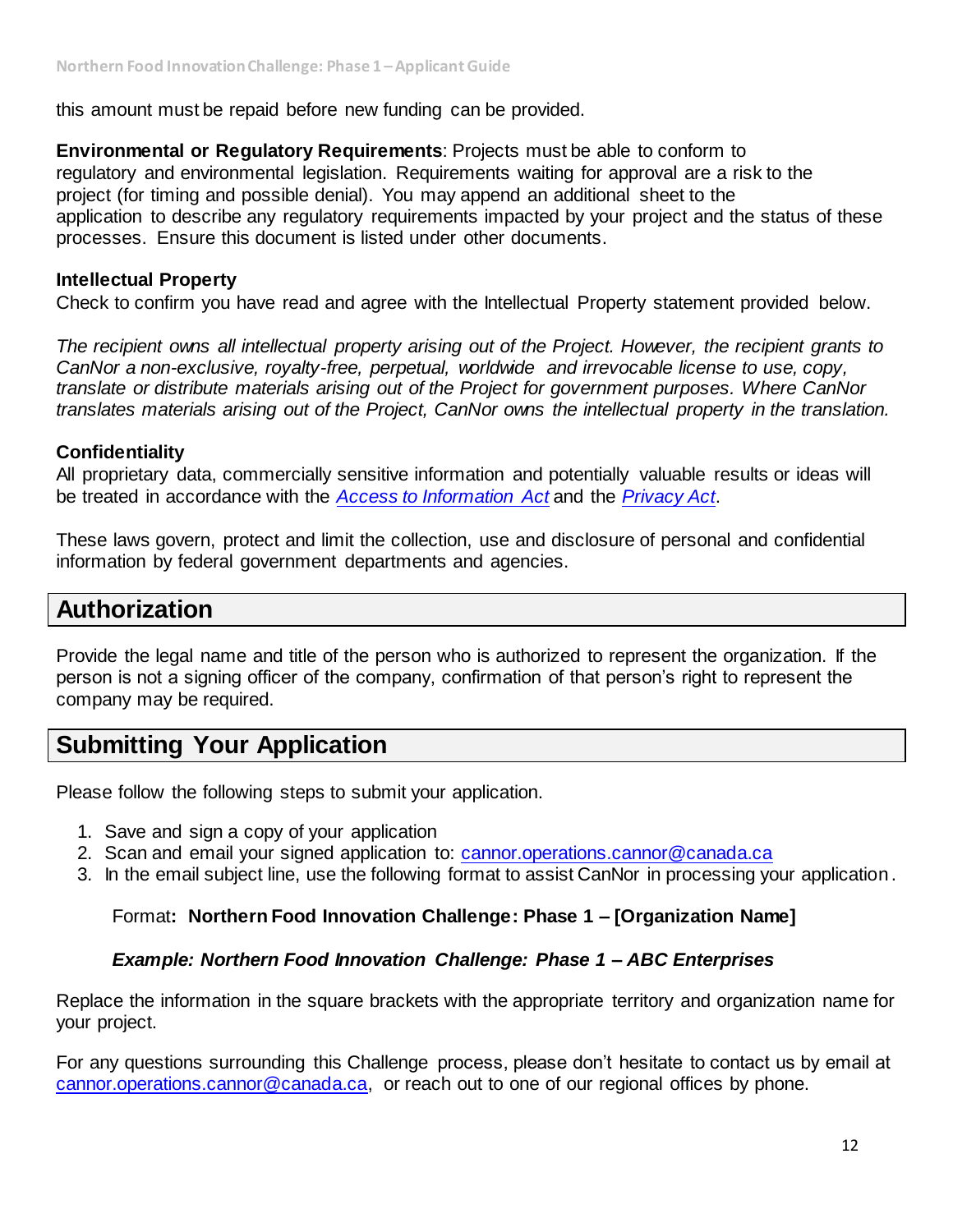this amount must be repaid before new funding can be provided.

**Environmental or Regulatory Requirements**: Projects must be able to conform to regulatory and environmental legislation. Requirements waiting for approval are a risk to the project (for timing and possible denial). You may append an additional sheet to the application to describe any regulatory requirements impacted by your project and the status of these processes. Ensure this document is listed under other documents.

#### **Intellectual Property**

Check to confirm you have read and agree with the Intellectual Property statement provided below.

*The recipient owns all intellectual property arising out of the Project. However, the recipient grants to CanNor a non-exclusive, royalty-free, perpetual, worldwide and irrevocable license to use, copy, translate or distribute materials arising out of the Project for government purposes. Where CanNor translates materials arising out of the Project, CanNor owns the intellectual property in the translation.*

#### **Confidentiality**

All proprietary data, commercially sensitive information and potentially valuable results or ideas will be treated in accordance with the *[Access to Information Act](https://laws-lois.justice.gc.ca/eng/acts/a-1/)* and the *[Privacy Act](https://laws-lois.justice.gc.ca/eng/acts/p-21/)*.

These laws govern, protect and limit the collection, use and disclosure of personal and confidential information by federal government departments and agencies.

## **Authorization**

Provide the legal name and title of the person who is authorized to represent the organization. If the person is not a signing officer of the company, confirmation of that person's right to represent the company may be required.

## **Submitting Your Application**

Please follow the following steps to submit your application.

- 1. Save and sign a copy of your application
- 2. Scan and email your signed application to: [cannor.operations.cannor@canada.ca](https://gcdocs.intra.pri/contentserverinacproductiondav/nodes/88741005/cannor.operations.cannor%40canada.ca)
- 3. In the email subject line, use the following format to assist CanNor in processing your application.

#### Format**: Northern Food Innovation Challenge: Phase 1 – [Organization Name]**

#### *Example: Northern Food Innovation Challenge: Phase 1 – ABC Enterprises*

Replace the information in the square brackets with the appropriate territory and organization name for your project.

For any questions surrounding this Challenge process, please don't hesitate to contact us by email at [cannor.operations.cannor@canada.ca,](https://gcdocs.intra.pri/contentserverinacproductiondav/nodes/88741005/cannor.operations.cannor%40canada.ca) or reach out to one of our regional offices by phone.